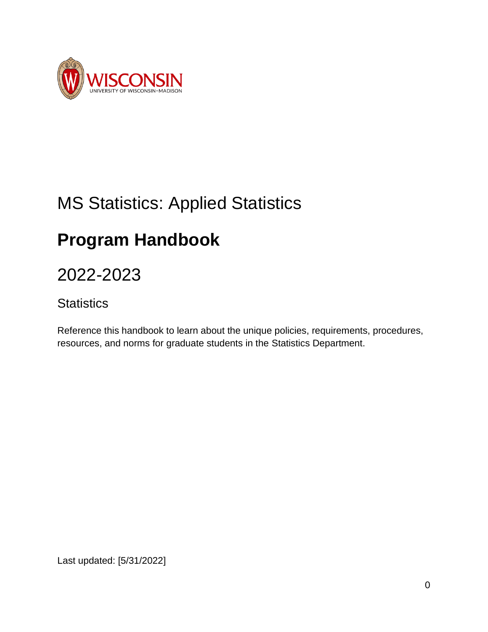

# MS Statistics: Applied Statistics

# **Program Handbook**

# 2022-2023

## **Statistics**

Reference this handbook to learn about the unique policies, requirements, procedures, resources, and norms for graduate students in the Statistics Department.

Last updated: [5/31/2022]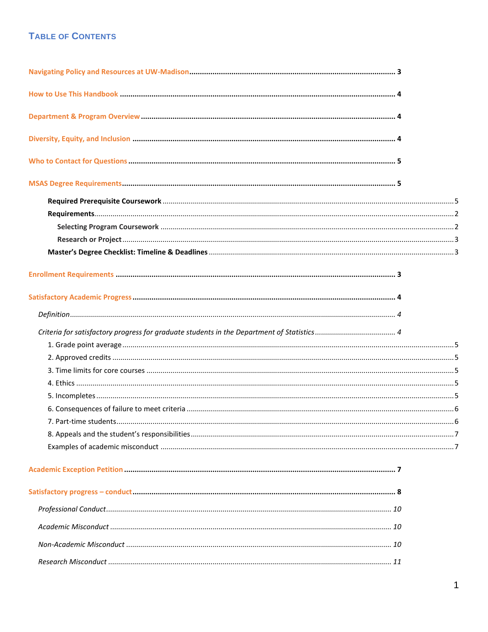#### **TABLE OF CONTENTS**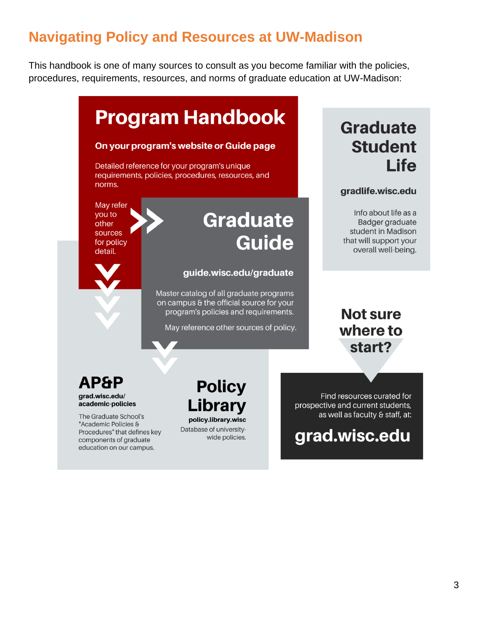# **Navigating Policy and Resources at UW-Madison**

This handbook is one of many sources to consult as you become familiar with the policies, procedures, requirements, resources, and norms of graduate education at UW-Madison:



Procedures" that defines key components of graduate education on our campus.

Database of universitywide policies. prospective and current students, as well as faculty & staff, at:

grad.wisc.edu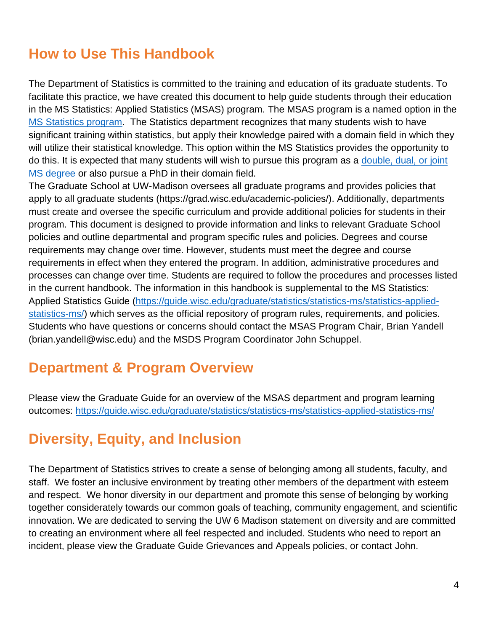# **How to Use This Handbook**

The Department of Statistics is committed to the training and education of its graduate students. To facilitate this practice, we have created this document to help guide students through their education in the MS Statistics: Applied Statistics (MSAS) program. The MSAS program is a named option in the [MS Statistics program.](https://guide.wisc.edu/graduate/statistics/statistics-ms/) The Statistics department recognizes that many students wish to have significant training within statistics, but apply their knowledge paired with a domain field in which they will utilize their statistical knowledge. This option within the MS Statistics provides the opportunity to do this. It is expected that many students will wish to pursue this program as a [double, dual, or joint](https://grad.wisc.edu/academic-policies/)  [MS degree](https://grad.wisc.edu/academic-policies/) or also pursue a PhD in their domain field.

The Graduate School at UW-Madison oversees all graduate programs and provides policies that apply to all graduate students (https://grad.wisc.edu/academic-policies/). Additionally, departments must create and oversee the specific curriculum and provide additional policies for students in their program. This document is designed to provide information and links to relevant Graduate School policies and outline departmental and program specific rules and policies. Degrees and course requirements may change over time. However, students must meet the degree and course requirements in effect when they entered the program. In addition, administrative procedures and processes can change over time. Students are required to follow the procedures and processes listed in the current handbook. The information in this handbook is supplemental to the MS Statistics: Applied Statistics Guide [\(https://guide.wisc.edu/graduate/statistics/statistics-ms/statistics-applied](https://guide.wisc.edu/graduate/statistics/statistics-ms/statistics-applied-statistics-ms/)[statistics-ms/\)](https://guide.wisc.edu/graduate/statistics/statistics-ms/statistics-applied-statistics-ms/) which serves as the official repository of program rules, requirements, and policies. Students who have questions or concerns should contact the MSAS Program Chair, Brian Yandell (brian.yandell@wisc.edu) and the MSDS Program Coordinator John Schuppel.

# **Department & Program Overview**

Please view the Graduate Guide for an overview of the MSAS department and program learning outcomes:<https://guide.wisc.edu/graduate/statistics/statistics-ms/statistics-applied-statistics-ms/>

# **Diversity, Equity, and Inclusion**

The Department of Statistics strives to create a sense of belonging among all students, faculty, and staff. We foster an inclusive environment by treating other members of the department with esteem and respect. We honor diversity in our department and promote this sense of belonging by working together considerately towards our common goals of teaching, community engagement, and scientific innovation. We are dedicated to serving the UW 6 Madison statement on diversity and are committed to creating an environment where all feel respected and included. Students who need to report an incident, please view the Graduate Guide Grievances and Appeals policies, or contact John.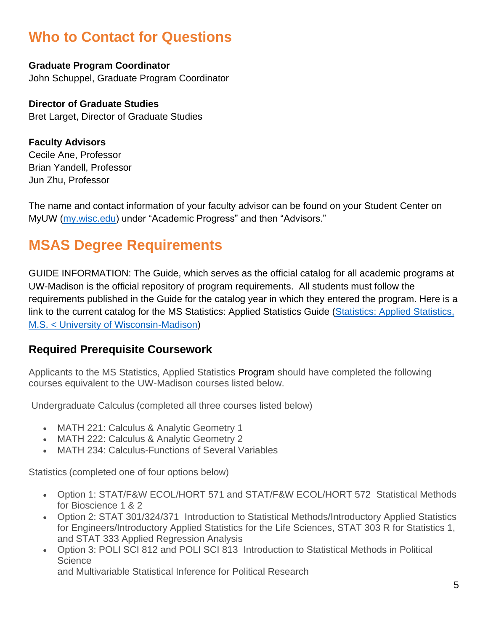# **Who to Contact for Questions**

**Graduate Program Coordinator** John Schuppel, Graduate Program Coordinator

#### **Director of Graduate Studies**

Bret Larget, Director of Graduate Studies

**Faculty Advisors** Cecile Ane, Professor Brian Yandell, Professor Jun Zhu, Professor

The name and contact information of your faculty advisor can be found on your Student Center on MyUW [\(my.wisc.edu\)](http://my.wisc.edu/) under "Academic Progress" and then "Advisors."

# **MSAS Degree Requirements**

GUIDE INFORMATION: The Guide, which serves as the official catalog for all academic programs at UW-Madison is the official repository of program requirements. All students must follow the requirements published in the Guide for the catalog year in which they entered the program. Here is a link to the current catalog for the MS Statistics: Applied Statistics Guide [\(Statistics: Applied Statistics,](https://guide.wisc.edu/graduate/statistics/statistics-ms/statistics-applied-statistics-ms/#requirementstext)  [M.S. < University of Wisconsin-Madison\)](https://guide.wisc.edu/graduate/statistics/statistics-ms/statistics-applied-statistics-ms/#requirementstext)

### **Required Prerequisite Coursework**

Applicants to the MS Statistics, Applied Statistics Program should have completed the following courses equivalent to the UW-Madison courses listed below.

Undergraduate Calculus (completed all three courses listed below)

- MATH 221: Calculus & Analytic Geometry 1
- MATH 222: Calculus & Analytic Geometry 2
- MATH 234: Calculus-Functions of Several Variables

Statistics (completed one of four options below)

- Option 1: STAT/F&W ECOL/HORT 571 and STAT/F&W ECOL/HORT 572 Statistical Methods for Bioscience 1 & 2
- Option 2: STAT 301/324/371 Introduction to Statistical Methods/Introductory Applied Statistics for Engineers/Introductory Applied Statistics for the Life Sciences, STAT 303 R for Statistics 1, and STAT 333 Applied Regression Analysis
- Option 3: POLI SCI 812 and POLI SCI 813 Introduction to Statistical Methods in Political **Science**

and Multivariable Statistical Inference for Political Research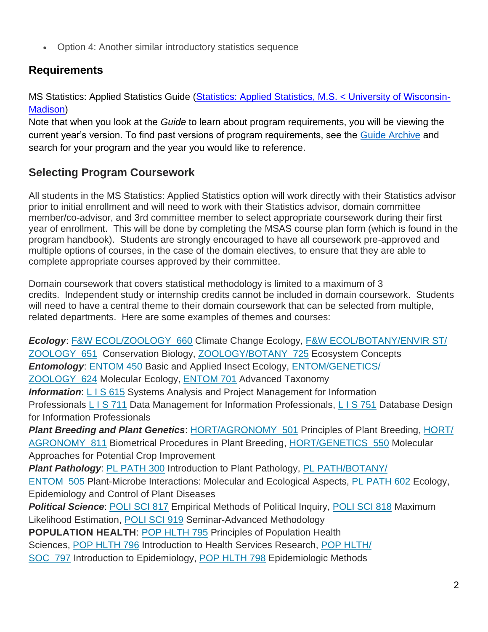• Option 4: Another similar introductory statistics sequence

## **Requirements**

MS Statistics: Applied Statistics Guide [\(Statistics: Applied Statistics, M.S. < University of Wisconsin-](https://guide.wisc.edu/graduate/statistics/statistics-ms/statistics-applied-statistics-ms/#requirementstext)[Madison\)](https://guide.wisc.edu/graduate/statistics/statistics-ms/statistics-applied-statistics-ms/#requirementstext)

Note that when you look at the *Guide* to learn about program requirements, you will be viewing the current year's version. To find past versions of program requirements, see the [Guide Archive](https://guide.wisc.edu/archive/) and search for your program and the year you would like to reference.

## **Selecting Program Coursework**

All students in the MS Statistics: Applied Statistics option will work directly with their Statistics advisor prior to initial enrollment and will need to work with their Statistics advisor, domain committee member/co-advisor, and 3rd committee member to select appropriate coursework during their first year of enrollment. This will be done by completing the MSAS course plan form (which is found in the program handbook). Students are strongly encouraged to have all coursework pre-approved and multiple options of courses, in the case of the domain electives, to ensure that they are able to complete appropriate courses approved by their committee.

Domain coursework that covers statistical methodology is limited to a maximum of 3 credits. Independent study or internship credits cannot be included in domain coursework. Students will need to have a central theme to their domain coursework that can be selected from multiple, related departments. Here are some examples of themes and courses:

*Ecology*: F&W [ECOL/ZOOLOGY 660](https://next-guide.wisc.edu/search/?P=F%26W%20ECOL%20660) Climate Change Ecology, F&W [ECOL/BOTANY/ENVIR](https://next-guide.wisc.edu/search/?P=F%26W%20ECOL%20651) ST/ [ZOOLOGY 651](https://next-guide.wisc.edu/search/?P=F%26W%20ECOL%20651) Conservation Biology, [ZOOLOGY/BOTANY 725](https://next-guide.wisc.edu/search/?P=ZOOLOGY%20725) Ecosystem Concepts *Entomology*: [ENTOM](https://next-guide.wisc.edu/search/?P=ENTOM%20450) 450 Basic and Applied Insect Ecology, [ENTOM/GENETICS/](https://next-guide.wisc.edu/search/?P=ENTOM%20624) [ZOOLOGY 624](https://next-guide.wisc.edu/search/?P=ENTOM%20624) Molecular Ecology, [ENTOM](https://next-guide.wisc.edu/search/?P=ENTOM%20701) 701 Advanced Taxonomy **Information:** L I S [615](https://next-guide.wisc.edu/search/?P=L%20I%20S%20615) Systems Analysis and Project Management for Information Professionals L I S [711](https://next-guide.wisc.edu/search/?P=L%20I%20S%20711) Data Management for Information Professionals, L I S [751](https://next-guide.wisc.edu/search/?P=L%20I%20S%20751) Database Design for Information Professionals *Plant Breeding and Plant Genetics*: [HORT/AGRONOMY 501](https://next-guide.wisc.edu/search/?P=HORT%20501) Principles of Plant Breeding, [HORT/](https://next-guide.wisc.edu/search/?P=HORT%20811) [AGRONOMY 811](https://next-guide.wisc.edu/search/?P=HORT%20811) Biometrical Procedures in Plant Breeding, [HORT/GENETICS 550](https://next-guide.wisc.edu/search/?P=HORT%20550) Molecular Approaches for Potential Crop Improvement *Plant Pathology*: PL [PATH](https://next-guide.wisc.edu/search/?P=PL%20PATH%20300) 300 Introduction to Plant Pathology, PL [PATH/BOTANY/](https://next-guide.wisc.edu/search/?P=PL%20PATH%20505) [ENTOM](https://next-guide.wisc.edu/search/?P=PL%20PATH%20505) 505 Plant-Microbe Interactions: Molecular and Ecological Aspects, PL [PATH](https://next-guide.wisc.edu/search/?P=PL%20PATH%20602) 602 Ecology, Epidemiology and Control of Plant Diseases **Political Science: [POLI](https://next-guide.wisc.edu/search/?P=POLI%20SCI%20818) SCI 817 Empirical Methods of Political Inquiry, POLI SCI 818 Maximum** Likelihood Estimation, [POLI](https://next-guide.wisc.edu/search/?P=POLI%20SCI%20919) SCI 919 Seminar-Advanced Methodology **POPULATION HEALTH**: POP [HLTH](https://next-guide.wisc.edu/search/?P=POP%20HLTH%20795) 795 Principles of Population Health Sciences, POP [HLTH](https://next-guide.wisc.edu/search/?P=POP%20HLTH%20796) 796 Introduction to Health Services Research, POP [HLTH/](https://next-guide.wisc.edu/search/?P=POP%20HLTH%20797) [SOC 797](https://next-guide.wisc.edu/search/?P=POP%20HLTH%20797) Introduction to Epidemiology, POP [HLTH](https://next-guide.wisc.edu/search/?P=POP%20HLTH%20798) 798 Epidemiologic Methods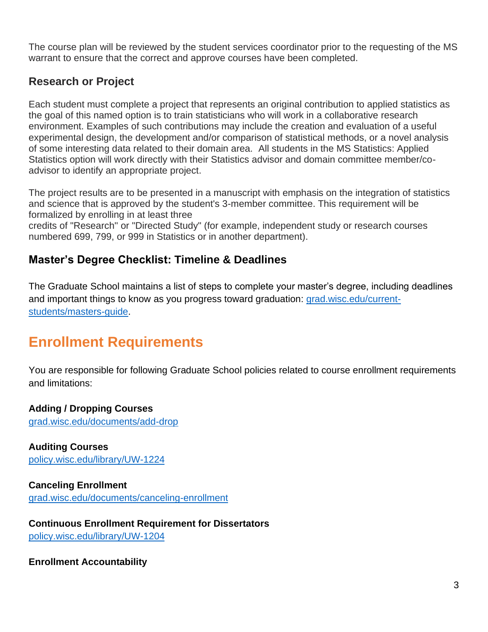The course plan will be reviewed by the student services coordinator prior to the requesting of the MS warrant to ensure that the correct and approve courses have been completed.

### **Research or Project**

Each student must complete a project that represents an original contribution to applied statistics as the goal of this named option is to train statisticians who will work in a collaborative research environment. Examples of such contributions may include the creation and evaluation of a useful experimental design, the development and/or comparison of statistical methods, or a novel analysis of some interesting data related to their domain area. All students in the MS Statistics: Applied Statistics option will work directly with their Statistics advisor and domain committee member/coadvisor to identify an appropriate project.

The project results are to be presented in a manuscript with emphasis on the integration of statistics and science that is approved by the student's 3-member committee. This requirement will be formalized by enrolling in at least three

credits of "Research'' or "Directed Study" (for example, independent study or research courses numbered 699, 799, or 999 in Statistics or in another department).

## **Master's Degree Checklist: Timeline & Deadlines**

The Graduate School maintains a list of steps to complete your master's degree, including deadlines and important things to know as you progress toward graduation: [grad.wisc.edu/current](https://grad.wisc.edu/current-students/masters-guide/)[students/masters-guide.](https://grad.wisc.edu/current-students/masters-guide/)

# **Enrollment Requirements**

You are responsible for following Graduate School policies related to course enrollment requirements and limitations:

#### **Adding / Dropping Courses**

[grad.wisc.edu/documents/add-drop](https://grad.wisc.edu/documents/add-drop/)

**Auditing Courses** [policy.wisc.edu/library/UW-1224](https://policy.wisc.edu/library/UW-1224)

**Canceling Enrollment** [grad.wisc.edu/documents/canceling-enrollment](https://grad.wisc.edu/documents/canceling-enrollment/)

**Continuous Enrollment Requirement for Dissertators** [policy.wisc.edu/library/UW-1204](https://policy.wisc.edu/library/UW-1204)

**Enrollment Accountability**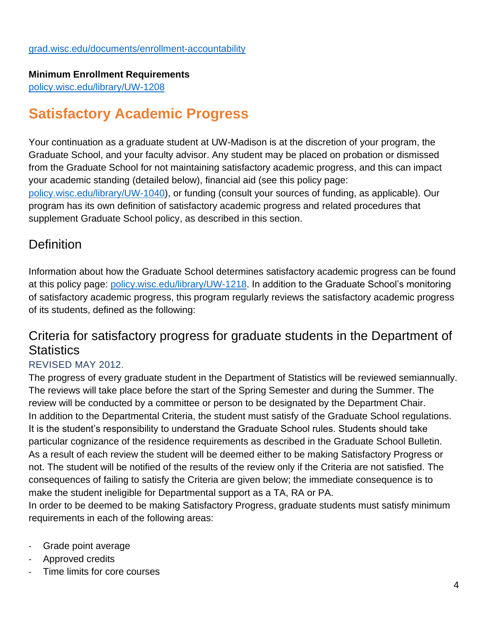#### **Minimum Enrollment Requirements**

[policy.wisc.edu/library/UW-1208](https://policy.wisc.edu/library/UW-1208)

# **Satisfactory Academic Progress**

Your continuation as a graduate student at UW-Madison is at the discretion of your program, the Graduate School, and your faculty advisor. Any student may be placed on probation or dismissed from the Graduate School for not maintaining satisfactory academic progress, and this can impact your academic standing (detailed below), financial aid (see this policy page: [policy.wisc.edu/library/UW-1040\)](https://policy.wisc.edu/library/UW-1040), or funding (consult your sources of funding, as applicable). Our

program has its own definition of satisfactory academic progress and related procedures that supplement Graduate School policy, as described in this section.

## **Definition**

Information about how the Graduate School determines satisfactory academic progress can be found at this policy page: [policy.wisc.edu/library/UW-1218.](https://policy.wisc.edu/library/UW-1218) In addition to the Graduate School's monitoring of satisfactory academic progress, this program regularly reviews the satisfactory academic progress of its students, defined as the following:

## Criteria for satisfactory progress for graduate students in the Department of **Statistics**

#### REVISED MAY 2012.

The progress of every graduate student in the Department of Statistics will be reviewed semiannually. The reviews will take place before the start of the Spring Semester and during the Summer. The review will be conducted by a committee or person to be designated by the Department Chair. In addition to the Departmental Criteria, the student must satisfy of the Graduate School regulations. It is the student's responsibility to understand the Graduate School rules. Students should take particular cognizance of the residence requirements as described in the Graduate School Bulletin. As a result of each review the student will be deemed either to be making Satisfactory Progress or not. The student will be notified of the results of the review only if the Criteria are not satisfied. The consequences of failing to satisfy the Criteria are given below; the immediate consequence is to make the student ineligible for Departmental support as a TA, RA or PA.

In order to be deemed to be making Satisfactory Progress, graduate students must satisfy minimum requirements in each of the following areas:

- Grade point average
- Approved credits
- Time limits for core courses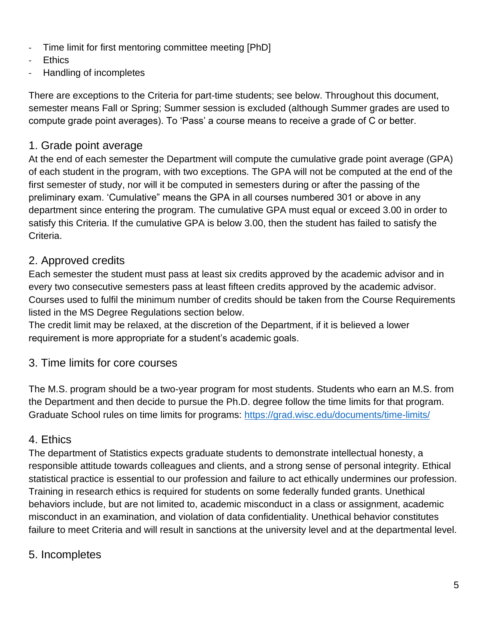- Time limit for first mentoring committee meeting [PhD]
- **Ethics**
- Handling of incompletes

There are exceptions to the Criteria for part-time students; see below. Throughout this document, semester means Fall or Spring; Summer session is excluded (although Summer grades are used to compute grade point averages). To 'Pass' a course means to receive a grade of C or better.

## 1. Grade point average

At the end of each semester the Department will compute the cumulative grade point average (GPA) of each student in the program, with two exceptions. The GPA will not be computed at the end of the first semester of study, nor will it be computed in semesters during or after the passing of the preliminary exam. 'Cumulative" means the GPA in all courses numbered 301 or above in any department since entering the program. The cumulative GPA must equal or exceed 3.00 in order to satisfy this Criteria. If the cumulative GPA is below 3.00, then the student has failed to satisfy the Criteria.

## 2. Approved credits

Each semester the student must pass at least six credits approved by the academic advisor and in every two consecutive semesters pass at least fifteen credits approved by the academic advisor. Courses used to fulfil the minimum number of credits should be taken from the Course Requirements listed in the MS Degree Regulations section below.

The credit limit may be relaxed, at the discretion of the Department, if it is believed a lower requirement is more appropriate for a student's academic goals.

## 3. Time limits for core courses

The M.S. program should be a two-year program for most students. Students who earn an M.S. from the Department and then decide to pursue the Ph.D. degree follow the time limits for that program. Graduate School rules on time limits for programs:<https://grad.wisc.edu/documents/time-limits/>

### 4. Ethics

The department of Statistics expects graduate students to demonstrate intellectual honesty, a responsible attitude towards colleagues and clients, and a strong sense of personal integrity. Ethical statistical practice is essential to our profession and failure to act ethically undermines our profession. Training in research ethics is required for students on some federally funded grants. Unethical behaviors include, but are not limited to, academic misconduct in a class or assignment, academic misconduct in an examination, and violation of data confidentiality. Unethical behavior constitutes failure to meet Criteria and will result in sanctions at the university level and at the departmental level.

## 5. Incompletes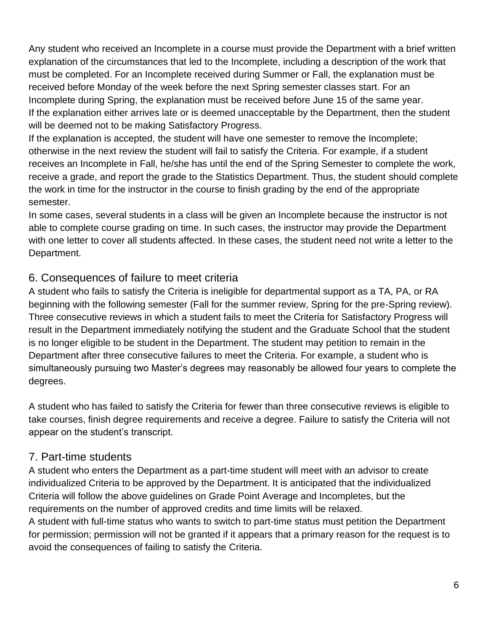Any student who received an Incomplete in a course must provide the Department with a brief written explanation of the circumstances that led to the Incomplete, including a description of the work that must be completed. For an Incomplete received during Summer or Fall, the explanation must be received before Monday of the week before the next Spring semester classes start. For an Incomplete during Spring, the explanation must be received before June 15 of the same year. If the explanation either arrives late or is deemed unacceptable by the Department, then the student will be deemed not to be making Satisfactory Progress.

If the explanation is accepted, the student will have one semester to remove the Incomplete; otherwise in the next review the student will fail to satisfy the Criteria. For example, if a student receives an Incomplete in Fall, he/she has until the end of the Spring Semester to complete the work, receive a grade, and report the grade to the Statistics Department. Thus, the student should complete the work in time for the instructor in the course to finish grading by the end of the appropriate semester.

In some cases, several students in a class will be given an Incomplete because the instructor is not able to complete course grading on time. In such cases, the instructor may provide the Department with one letter to cover all students affected. In these cases, the student need not write a letter to the Department.

#### 6. Consequences of failure to meet criteria

A student who fails to satisfy the Criteria is ineligible for departmental support as a TA, PA, or RA beginning with the following semester (Fall for the summer review, Spring for the pre-Spring review). Three consecutive reviews in which a student fails to meet the Criteria for Satisfactory Progress will result in the Department immediately notifying the student and the Graduate School that the student is no longer eligible to be student in the Department. The student may petition to remain in the Department after three consecutive failures to meet the Criteria. For example, a student who is simultaneously pursuing two Master's degrees may reasonably be allowed four years to complete the degrees.

A student who has failed to satisfy the Criteria for fewer than three consecutive reviews is eligible to take courses, finish degree requirements and receive a degree. Failure to satisfy the Criteria will not appear on the student's transcript.

## 7. Part-time students

A student who enters the Department as a part-time student will meet with an advisor to create individualized Criteria to be approved by the Department. It is anticipated that the individualized Criteria will follow the above guidelines on Grade Point Average and Incompletes, but the requirements on the number of approved credits and time limits will be relaxed.

A student with full-time status who wants to switch to part-time status must petition the Department for permission; permission will not be granted if it appears that a primary reason for the request is to avoid the consequences of failing to satisfy the Criteria.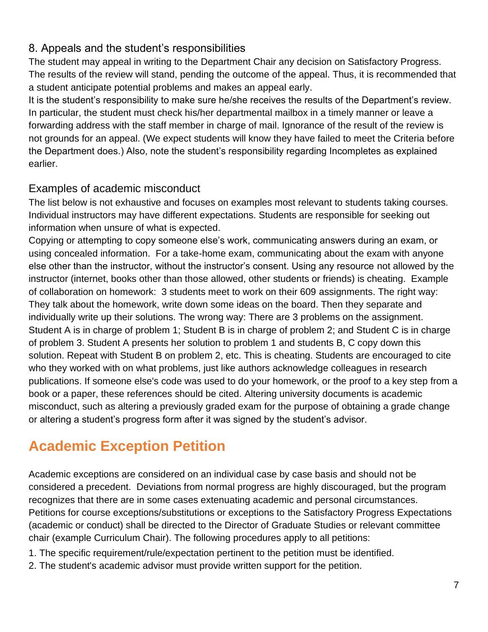#### 8. Appeals and the student's responsibilities

The student may appeal in writing to the Department Chair any decision on Satisfactory Progress. The results of the review will stand, pending the outcome of the appeal. Thus, it is recommended that a student anticipate potential problems and makes an appeal early.

It is the student's responsibility to make sure he/she receives the results of the Department's review. In particular, the student must check his/her departmental mailbox in a timely manner or leave a forwarding address with the staff member in charge of mail. Ignorance of the result of the review is not grounds for an appeal. (We expect students will know they have failed to meet the Criteria before the Department does.) Also, note the student's responsibility regarding Incompletes as explained earlier.

### Examples of academic misconduct

The list below is not exhaustive and focuses on examples most relevant to students taking courses. Individual instructors may have different expectations. Students are responsible for seeking out information when unsure of what is expected.

Copying or attempting to copy someone else's work, communicating answers during an exam, or using concealed information. For a take-home exam, communicating about the exam with anyone else other than the instructor, without the instructor's consent. Using any resource not allowed by the instructor (internet, books other than those allowed, other students or friends) is cheating. Example of collaboration on homework: 3 students meet to work on their 609 assignments. The right way: They talk about the homework, write down some ideas on the board. Then they separate and individually write up their solutions. The wrong way: There are 3 problems on the assignment. Student A is in charge of problem 1; Student B is in charge of problem 2; and Student C is in charge of problem 3. Student A presents her solution to problem 1 and students B, C copy down this solution. Repeat with Student B on problem 2, etc. This is cheating. Students are encouraged to cite who they worked with on what problems, just like authors acknowledge colleagues in research publications. If someone else's code was used to do your homework, or the proof to a key step from a book or a paper, these references should be cited. Altering university documents is academic misconduct, such as altering a previously graded exam for the purpose of obtaining a grade change or altering a student's progress form after it was signed by the student's advisor.

# **Academic Exception Petition**

Academic exceptions are considered on an individual case by case basis and should not be considered a precedent. Deviations from normal progress are highly discouraged, but the program recognizes that there are in some cases extenuating academic and personal circumstances. Petitions for course exceptions/substitutions or exceptions to the Satisfactory Progress Expectations (academic or conduct) shall be directed to the Director of Graduate Studies or relevant committee chair (example Curriculum Chair). The following procedures apply to all petitions:

- 1. The specific requirement/rule/expectation pertinent to the petition must be identified.
- 2. The student's academic advisor must provide written support for the petition.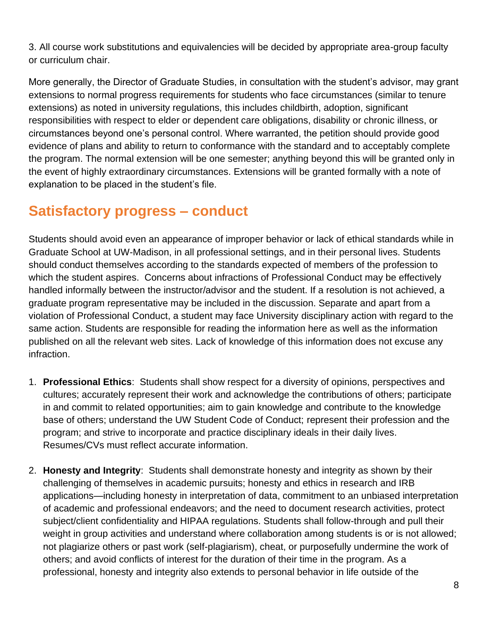3. All course work substitutions and equivalencies will be decided by appropriate area-group faculty or curriculum chair.

More generally, the Director of Graduate Studies, in consultation with the student's advisor, may grant extensions to normal progress requirements for students who face circumstances (similar to tenure extensions) as noted in university regulations, this includes childbirth, adoption, significant responsibilities with respect to elder or dependent care obligations, disability or chronic illness, or circumstances beyond one's personal control. Where warranted, the petition should provide good evidence of plans and ability to return to conformance with the standard and to acceptably complete the program. The normal extension will be one semester; anything beyond this will be granted only in the event of highly extraordinary circumstances. Extensions will be granted formally with a note of explanation to be placed in the student's file.

# **Satisfactory progress – conduct**

Students should avoid even an appearance of improper behavior or lack of ethical standards while in Graduate School at UW-Madison, in all professional settings, and in their personal lives. Students should conduct themselves according to the standards expected of members of the profession to which the student aspires. Concerns about infractions of Professional Conduct may be effectively handled informally between the instructor/advisor and the student. If a resolution is not achieved, a graduate program representative may be included in the discussion. Separate and apart from a violation of Professional Conduct, a student may face University disciplinary action with regard to the same action. Students are responsible for reading the information here as well as the information published on all the relevant web sites. Lack of knowledge of this information does not excuse any infraction.

- 1. **Professional Ethics**: Students shall show respect for a diversity of opinions, perspectives and cultures; accurately represent their work and acknowledge the contributions of others; participate in and commit to related opportunities; aim to gain knowledge and contribute to the knowledge base of others; understand the UW Student Code of Conduct; represent their profession and the program; and strive to incorporate and practice disciplinary ideals in their daily lives. Resumes/CVs must reflect accurate information.
- 2. **Honesty and Integrity**: Students shall demonstrate honesty and integrity as shown by their challenging of themselves in academic pursuits; honesty and ethics in research and IRB applications—including honesty in interpretation of data, commitment to an unbiased interpretation of academic and professional endeavors; and the need to document research activities, protect subject/client confidentiality and HIPAA regulations. Students shall follow-through and pull their weight in group activities and understand where collaboration among students is or is not allowed; not plagiarize others or past work (self-plagiarism), cheat, or purposefully undermine the work of others; and avoid conflicts of interest for the duration of their time in the program. As a professional, honesty and integrity also extends to personal behavior in life outside of the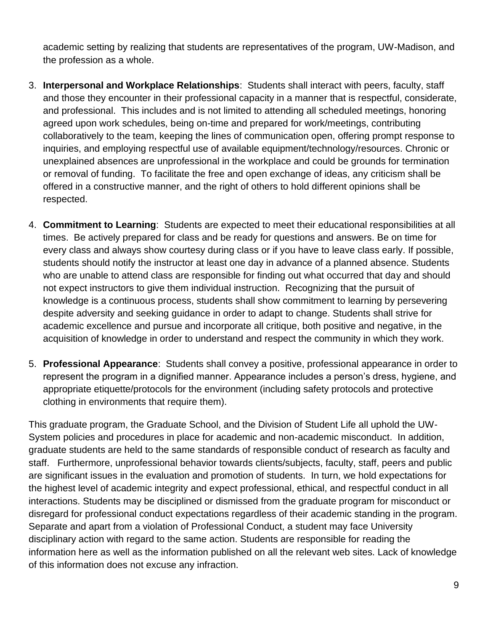academic setting by realizing that students are representatives of the program, UW-Madison, and the profession as a whole.

- 3. **Interpersonal and Workplace Relationships**: Students shall interact with peers, faculty, staff and those they encounter in their professional capacity in a manner that is respectful, considerate, and professional. This includes and is not limited to attending all scheduled meetings, honoring agreed upon work schedules, being on-time and prepared for work/meetings, contributing collaboratively to the team, keeping the lines of communication open, offering prompt response to inquiries, and employing respectful use of available equipment/technology/resources. Chronic or unexplained absences are unprofessional in the workplace and could be grounds for termination or removal of funding. To facilitate the free and open exchange of ideas, any criticism shall be offered in a constructive manner, and the right of others to hold different opinions shall be respected.
- 4. **Commitment to Learning**: Students are expected to meet their educational responsibilities at all times. Be actively prepared for class and be ready for questions and answers. Be on time for every class and always show courtesy during class or if you have to leave class early. If possible, students should notify the instructor at least one day in advance of a planned absence. Students who are unable to attend class are responsible for finding out what occurred that day and should not expect instructors to give them individual instruction. Recognizing that the pursuit of knowledge is a continuous process, students shall show commitment to learning by persevering despite adversity and seeking guidance in order to adapt to change. Students shall strive for academic excellence and pursue and incorporate all critique, both positive and negative, in the acquisition of knowledge in order to understand and respect the community in which they work.
- 5. **Professional Appearance**: Students shall convey a positive, professional appearance in order to represent the program in a dignified manner. Appearance includes a person's dress, hygiene, and appropriate etiquette/protocols for the environment (including safety protocols and protective clothing in environments that require them).

This graduate program, the Graduate School, and the Division of Student Life all uphold the UW-System policies and procedures in place for academic and non-academic misconduct. In addition, graduate students are held to the same standards of responsible conduct of research as faculty and staff. Furthermore, unprofessional behavior towards clients/subjects, faculty, staff, peers and public are significant issues in the evaluation and promotion of students. In turn, we hold expectations for the highest level of academic integrity and expect professional, ethical, and respectful conduct in all interactions. Students may be disciplined or dismissed from the graduate program for misconduct or disregard for professional conduct expectations regardless of their academic standing in the program. Separate and apart from a violation of Professional Conduct, a student may face University disciplinary action with regard to the same action. Students are responsible for reading the information here as well as the information published on all the relevant web sites. Lack of knowledge of this information does not excuse any infraction.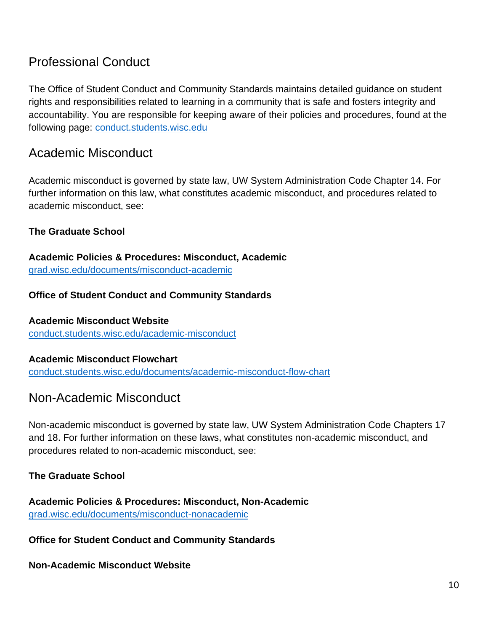## Professional Conduct

The Office of Student Conduct and Community Standards maintains detailed guidance on student rights and responsibilities related to learning in a community that is safe and fosters integrity and accountability. You are responsible for keeping aware of their policies and procedures, found at the following page: [conduct.students.wisc.edu](https://conduct.students.wisc.edu/)

## Academic Misconduct

Academic misconduct is governed by state law, UW System Administration Code Chapter 14. For further information on this law, what constitutes academic misconduct, and procedures related to academic misconduct, see:

#### **The Graduate School**

**Academic Policies & Procedures: Misconduct, Academic** [grad.wisc.edu/documents/misconduct-academic](https://grad.wisc.edu/documents/misconduct-academic/)

#### **Office of Student Conduct and Community Standards**

**Academic Misconduct Website** [conduct.students.wisc.edu/academic-misconduct](https://conduct.students.wisc.edu/academic-misconduct/)

#### **Academic Misconduct Flowchart**

[conduct.students.wisc.edu/documents/academic-misconduct-flow-chart](https://conduct.students.wisc.edu/documents/academic-misconduct-flow-chart/)

### Non-Academic Misconduct

Non-academic misconduct is governed by state law, UW System Administration Code Chapters 17 and 18. For further information on these laws, what constitutes non-academic misconduct, and procedures related to non-academic misconduct, see:

#### **The Graduate School**

**Academic Policies & Procedures: Misconduct, Non-Academic** [grad.wisc.edu/documents/misconduct-nonacademic](https://grad.wisc.edu/documents/misconduct-nonacademic/)

**Office for Student Conduct and Community Standards**

**Non-Academic Misconduct Website**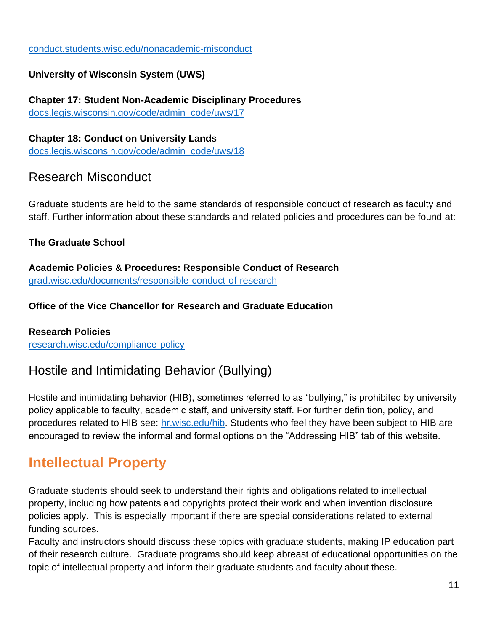#### [conduct.students.wisc.edu/nonacademic-misconduct](https://conduct.students.wisc.edu/nonacademic-misconduct)

#### **University of Wisconsin System (UWS)**

**Chapter 17: Student Non-Academic Disciplinary Procedures** [docs.legis.wisconsin.gov/code/admin\\_code/uws/17](https://docs.legis.wisconsin.gov/code/admin_code/uws/17)

**Chapter 18: Conduct on University Lands**  [docs.legis.wisconsin.gov/code/admin\\_code/uws/18](https://docs.legis.wisconsin.gov/code/admin_code/uws/18)

## Research Misconduct

Graduate students are held to the same standards of responsible conduct of research as faculty and staff. Further information about these standards and related policies and procedures can be found at:

#### **The Graduate School**

**Academic Policies & Procedures: Responsible Conduct of Research** [grad.wisc.edu/documents/responsible-conduct-of-research](https://grad.wisc.edu/documents/responsible-conduct-of-research/)

#### **Office of the Vice Chancellor for Research and Graduate Education**

#### **Research Policies**

[research.wisc.edu/compliance-policy](https://research.wisc.edu/compliance-policy/)

## Hostile and Intimidating Behavior (Bullying)

Hostile and intimidating behavior (HIB), sometimes referred to as "bullying," is prohibited by university policy applicable to faculty, academic staff, and university staff. For further definition, policy, and procedures related to HIB see: [hr.wisc.edu/hib.](https://hr.wisc.edu/hib/) Students who feel they have been subject to HIB are encouraged to review the informal and formal options on the "Addressing HIB" tab of this website.

# **Intellectual Property**

Graduate students should seek to understand their rights and obligations related to intellectual property, including how patents and copyrights protect their work and when invention disclosure policies apply. This is especially important if there are special considerations related to external funding sources.

Faculty and instructors should discuss these topics with graduate students, making IP education part of their research culture. Graduate programs should keep abreast of educational opportunities on the topic of intellectual property and inform their graduate students and faculty about these.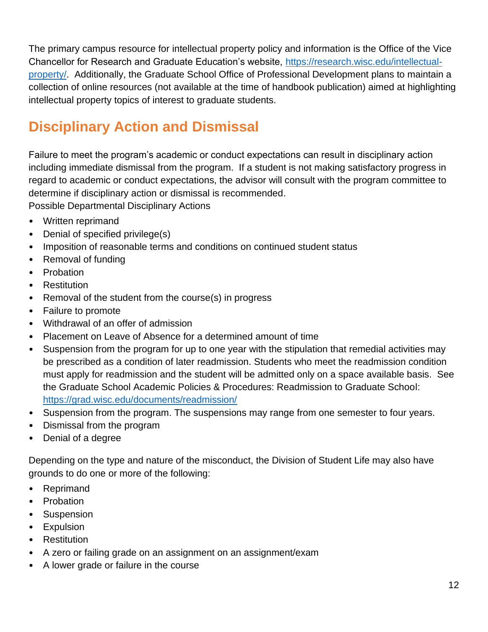The primary campus resource for intellectual property policy and information is the Office of the Vice Chancellor for Research and Graduate Education's website, [https://research.wisc.edu/intellectual](https://research.wisc.edu/intellectual-property/)[property/.](https://research.wisc.edu/intellectual-property/) Additionally, the Graduate School Office of Professional Development plans to maintain a collection of online resources (not available at the time of handbook publication) aimed at highlighting intellectual property topics of interest to graduate students.

# **Disciplinary Action and Dismissal**

Failure to meet the program's academic or conduct expectations can result in disciplinary action including immediate dismissal from the program. If a student is not making satisfactory progress in regard to academic or conduct expectations, the advisor will consult with the program committee to determine if disciplinary action or dismissal is recommended.

Possible Departmental Disciplinary Actions

- Written reprimand
- Denial of specified privilege(s)
- Imposition of reasonable terms and conditions on continued student status
- Removal of funding
- Probation
- **Restitution**
- Removal of the student from the course(s) in progress
- Failure to promote
- Withdrawal of an offer of admission
- Placement on Leave of Absence for a determined amount of time
- Suspension from the program for up to one year with the stipulation that remedial activities may be prescribed as a condition of later readmission. Students who meet the readmission condition must apply for readmission and the student will be admitted only on a space available basis. See the Graduate School Academic Policies & Procedures: Readmission to Graduate School: <https://grad.wisc.edu/documents/readmission/>
- Suspension from the program. The suspensions may range from one semester to four years.
- Dismissal from the program
- Denial of a degree

Depending on the type and nature of the misconduct, the Division of Student Life may also have grounds to do one or more of the following:

- Reprimand
- Probation
- Suspension
- Expulsion
- Restitution
- A zero or failing grade on an assignment on an assignment/exam
- A lower grade or failure in the course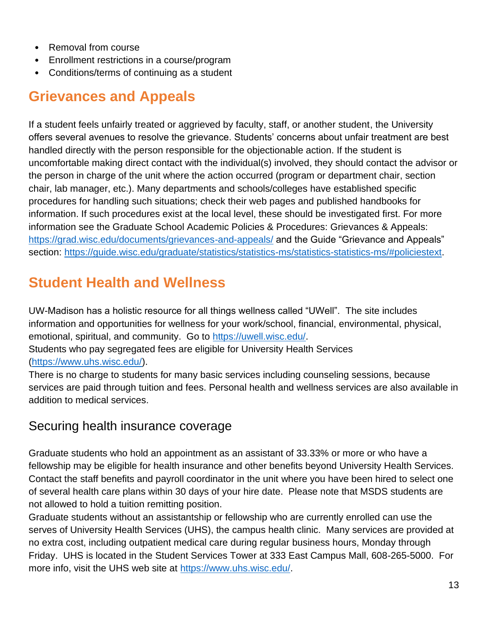- Removal from course
- Enrollment restrictions in a course/program
- Conditions/terms of continuing as a student

# **Grievances and Appeals**

If a student feels unfairly treated or aggrieved by faculty, staff, or another student, the University offers several avenues to resolve the grievance. Students' concerns about unfair treatment are best handled directly with the person responsible for the objectionable action. If the student is uncomfortable making direct contact with the individual(s) involved, they should contact the advisor or the person in charge of the unit where the action occurred (program or department chair, section chair, lab manager, etc.). Many departments and schools/colleges have established specific procedures for handling such situations; check their web pages and published handbooks for information. If such procedures exist at the local level, these should be investigated first. For more information see the Graduate School Academic Policies & Procedures: Grievances & Appeals: <https://grad.wisc.edu/documents/grievances-and-appeals/> and the Guide "Grievance and Appeals" section: https://quide.wisc.edu/graduate/statistics/statistics-ms/statistics-statistics-ms/#policiestext.

# **Student Health and Wellness**

UW-Madison has a holistic resource for all things wellness called "UWell". The site includes information and opportunities for wellness for your work/school, financial, environmental, physical, emotional, spiritual, and community. Go to [https://uwell.wisc.edu/.](https://uwell.wisc.edu/) Students who pay segregated fees are eligible for University Health Services [\(https://www.uhs.wisc.edu/\)](https://www.uhs.wisc.edu/).

There is no charge to students for many basic services including counseling sessions, because services are paid through tuition and fees. Personal health and wellness services are also available in addition to medical services.

### Securing health insurance coverage

Graduate students who hold an appointment as an assistant of 33.33% or more or who have a fellowship may be eligible for health insurance and other benefits beyond University Health Services. Contact the staff benefits and payroll coordinator in the unit where you have been hired to select one of several health care plans within 30 days of your hire date. Please note that MSDS students are not allowed to hold a tuition remitting position.

Graduate students without an assistantship or fellowship who are currently enrolled can use the serves of University Health Services (UHS), the campus health clinic. Many services are provided at no extra cost, including outpatient medical care during regular business hours, Monday through Friday. UHS is located in the Student Services Tower at 333 East Campus Mall, 608-265-5000. For more info, visit the UHS web site at [https://www.uhs.wisc.edu/.](https://www.uhs.wisc.edu/)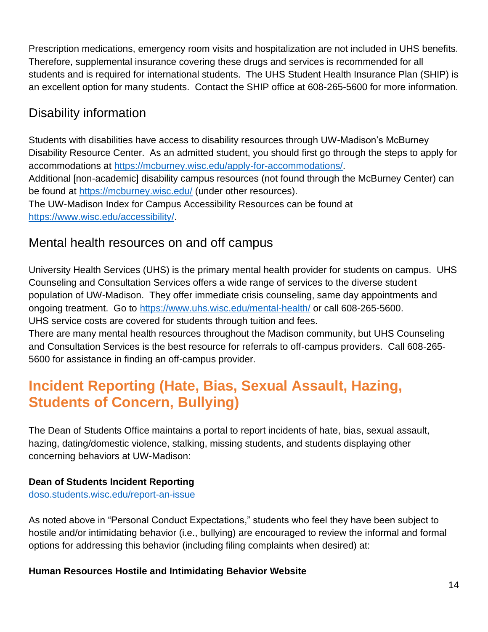Prescription medications, emergency room visits and hospitalization are not included in UHS benefits. Therefore, supplemental insurance covering these drugs and services is recommended for all students and is required for international students. The UHS Student Health Insurance Plan (SHIP) is an excellent option for many students. Contact the SHIP office at 608-265-5600 for more information.

## Disability information

Students with disabilities have access to disability resources through UW-Madison's McBurney Disability Resource Center. As an admitted student, you should first go through the steps to apply for accommodations at [https://mcburney.wisc.edu/apply-for-accommodations/.](https://mcburney.wisc.edu/apply-for-accommodations/) Additional [non-academic] disability campus resources (not found through the McBurney Center) can be found at<https://mcburney.wisc.edu/> (under other resources). The UW-Madison Index for Campus Accessibility Resources can be found at [https://www.wisc.edu/accessibility/.](https://www.wisc.edu/accessibility/)

## Mental health resources on and off campus

University Health Services (UHS) is the primary mental health provider for students on campus. UHS Counseling and Consultation Services offers a wide range of services to the diverse student population of UW-Madison. They offer immediate crisis counseling, same day appointments and ongoing treatment. Go to<https://www.uhs.wisc.edu/mental-health/> or call 608-265-5600. UHS service costs are covered for students through tuition and fees.

There are many mental health resources throughout the Madison community, but UHS Counseling and Consultation Services is the best resource for referrals to off-campus providers. Call 608-265- 5600 for assistance in finding an off-campus provider.

# **Incident Reporting (Hate, Bias, Sexual Assault, Hazing, Students of Concern, Bullying)**

The Dean of Students Office maintains a portal to report incidents of hate, bias, sexual assault, hazing, dating/domestic violence, stalking, missing students, and students displaying other concerning behaviors at UW-Madison:

#### **Dean of Students Incident Reporting**

[doso.students.wisc.edu/report-an-issue](https://doso.students.wisc.edu/report-an-issue/)

As noted above in "Personal Conduct Expectations," students who feel they have been subject to hostile and/or intimidating behavior (i.e., bullying) are encouraged to review the informal and formal options for addressing this behavior (including filing complaints when desired) at:

#### **Human Resources Hostile and Intimidating Behavior Website**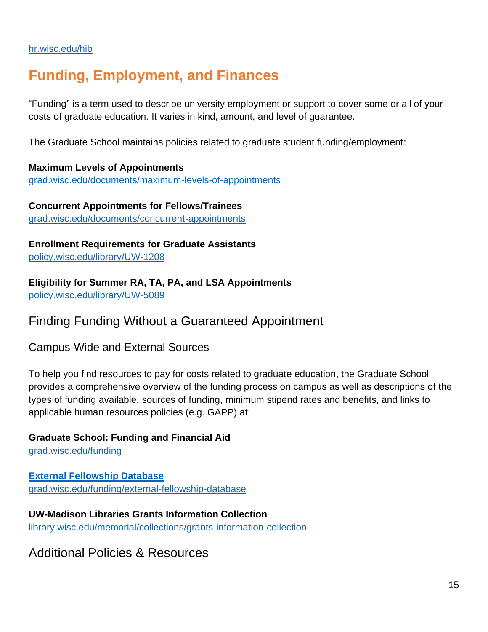#### [hr.wisc.edu/hib](https://hr.wisc.edu/hib/)

# **Funding, Employment, and Finances**

"Funding" is a term used to describe university employment or support to cover some or all of your costs of graduate education. It varies in kind, amount, and level of guarantee.

The Graduate School maintains policies related to graduate student funding/employment:

**Maximum Levels of Appointments** [grad.wisc.edu/documents/maximum-levels-of-appointments](https://grad.wisc.edu/documents/maximum-levels-of-appointments/)

**Concurrent Appointments for Fellows/Trainees** [grad.wisc.edu/documents/concurrent-appointments](https://grad.wisc.edu/documents/concurrent-appointments/)

**Enrollment Requirements for Graduate Assistants** [policy.wisc.edu/library/UW-1208](https://policy.wisc.edu/library/UW-1208)

**Eligibility for Summer RA, TA, PA, and LSA Appointments** [policy.wisc.edu/library/UW-5089](https://policy.wisc.edu/library/UW-5089)

### Finding Funding Without a Guaranteed Appointment

Campus-Wide and External Sources

To help you find resources to pay for costs related to graduate education, the Graduate School provides a comprehensive overview of the funding process on campus as well as descriptions of the types of funding available, sources of funding, minimum stipend rates and benefits, and links to applicable human resources policies (e.g. GAPP) at:

**Graduate School: Funding and Financial Aid** [grad.wisc.edu/funding](https://grad.wisc.edu/funding/)

**External Fellowship Database** [grad.wisc.edu/funding/external-fellowship-database](https://grad.wisc.edu/funding/external-fellowship-database/)

**UW-Madison Libraries Grants Information Collection** [library.wisc.edu/memorial/collections/grants-information-collection](https://www.library.wisc.edu/memorial/collections/grants-information-collection/)

Additional Policies & Resources